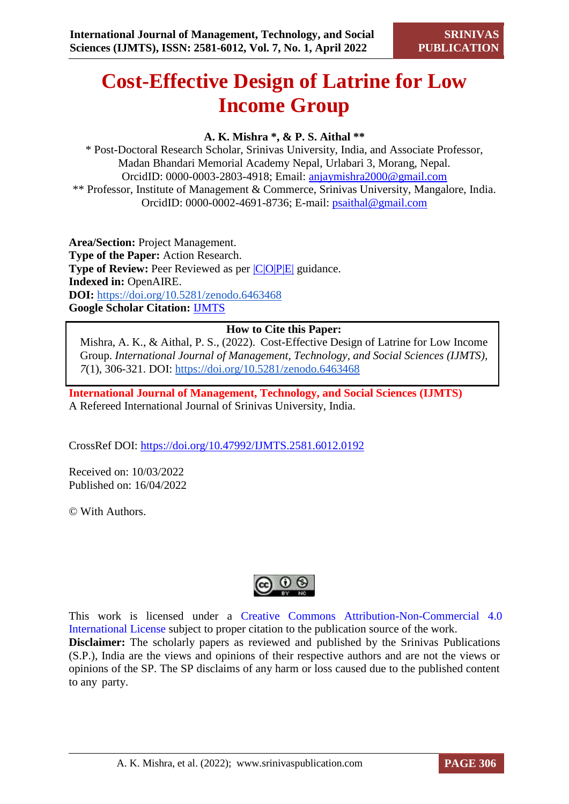# **Cost-Effective Design of Latrine for Low Income Group**

## **A. K. Mishra \*, & P. S. Aithal \*\***

\* Post-Doctoral Research Scholar, Srinivas University, India, and Associate Professor, Madan Bhandari Memorial Academy Nepal, Urlabari 3, Morang, Nepal. OrcidID: 0000-0003-2803-4918; Email: [anjaymishra2000@gmail.com](mailto:anjaymishra2000@gmail.com) \*\* Professor, Institute of Management & Commerce, Srinivas University, Mangalore, India. OrcidID: 0000-0002-4691-8736; E-mail: [psaithal@gmail.com](mailto:psaithal@gmail.com)

**Area/Section:** Project Management. **Type of the Paper:** Action Research. **Type of Review:** Peer Reviewed as per  $|C|O||P|E|$  guidance. **Indexed in:** OpenAIRE. **DOI:** <https://doi.org/10.5281/zenodo.6463468> **Google Scholar Citation:** [IJMTS](https://scholar.google.com/citations?user=bphF0BQAAAAJ)

## **How to Cite this Paper:**

Mishra, A. K., & Aithal, P. S., (2022). Cost-Effective Design of Latrine for Low Income Group. *International Journal of Management, Technology, and Social Sciences (IJMTS), 7*(1), 306-321. DOI:<https://doi.org/10.5281/zenodo.6463468>

**International Journal of Management, Technology, and Social Sciences (IJMTS)** A Refereed International Journal of Srinivas University, India.

CrossRef DOI: [https://doi.org/10.47992/IJMTS.2581.6012.0192](https://search.crossref.org/?q=10.47992%2FIJMTS.2581.6012.0192&from_ui=yes)

Received on: 10/03/2022 Published on: 16/04/2022

© With Authors.



This work is licensed under a Creative Commons Attribution-Non-Commercial 4.0 International License subject to proper citation to the publication source of the work. **Disclaimer:** The scholarly papers as reviewed and published by the Srinivas Publications (S.P.), India are the views and opinions of their respective authors and are not the views or opinions of the SP. The SP disclaims of any harm or loss caused due to the published content to any party.

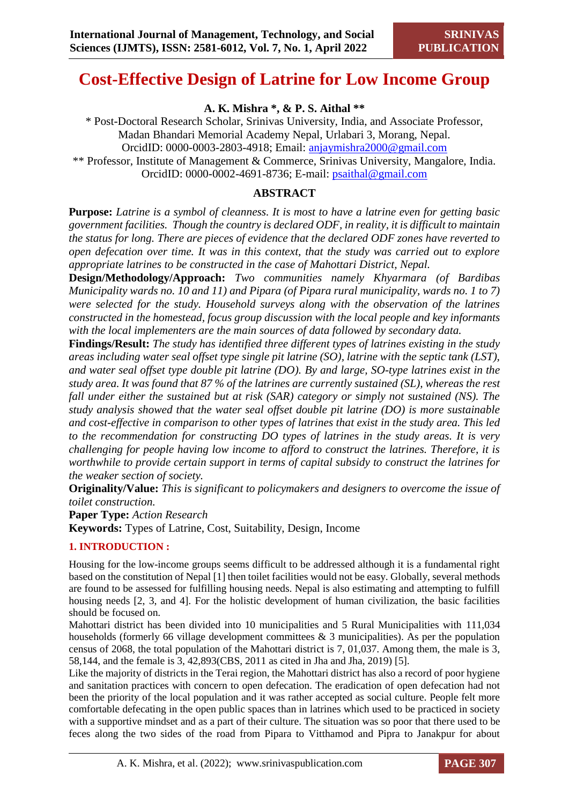## **Cost-Effective Design of Latrine for Low Income Group**

**A. K. Mishra \*, & P. S. Aithal \*\***

\* Post-Doctoral Research Scholar, Srinivas University, India, and Associate Professor, Madan Bhandari Memorial Academy Nepal, Urlabari 3, Morang, Nepal. OrcidID: 0000-0003-2803-4918; Email: [anjaymishra2000@gmail.com](mailto:anjaymishra2000@gmail.com) \*\* Professor, Institute of Management & Commerce, Srinivas University, Mangalore, India. OrcidID: 0000-0002-4691-8736; E-mail: [psaithal@gmail.com](mailto:psaithal@gmail.com)

## **ABSTRACT**

**Purpose:** *Latrine is a symbol of cleanness. It is most to have a latrine even for getting basic government facilities. Though the country is declared ODF, in reality, it is difficult to maintain the status for long. There are pieces of evidence that the declared ODF zones have reverted to open defecation over time. It was in this context, that the study was carried out to explore appropriate latrines to be constructed in the case of Mahottari District, Nepal.* 

**Design/Methodology/Approach:** *Two communities namely Khyarmara (of Bardibas Municipality wards no. 10 and 11) and Pipara (of Pipara rural municipality, wards no. 1 to 7) were selected for the study. Household surveys along with the observation of the latrines constructed in the homestead, focus group discussion with the local people and key informants with the local implementers are the main sources of data followed by secondary data.* 

**Findings/Result:** *The study has identified three different types of latrines existing in the study areas including water seal offset type single pit latrine (SO), latrine with the septic tank (LST), and water seal offset type double pit latrine (DO). By and large, SO-type latrines exist in the study area. It was found that 87 % of the latrines are currently sustained (SL), whereas the rest fall under either the sustained but at risk (SAR) category or simply not sustained (NS). The study analysis showed that the water seal offset double pit latrine (DO) is more sustainable and cost-effective in comparison to other types of latrines that exist in the study area. This led to the recommendation for constructing DO types of latrines in the study areas. It is very challenging for people having low income to afford to construct the latrines. Therefore, it is worthwhile to provide certain support in terms of capital subsidy to construct the latrines for the weaker section of society.*

**Originality/Value:** *This is significant to policymakers and designers to overcome the issue of toilet construction.* 

**Paper Type:** *Action Research* **Keywords:** Types of Latrine, Cost, Suitability, Design, Income

#### **1. INTRODUCTION :**

Housing for the low-income groups seems difficult to be addressed although it is a fundamental right based on the constitution of Nepal [1] then toilet facilities would not be easy. Globally, several methods are found to be assessed for fulfilling housing needs. Nepal is also estimating and attempting to fulfill housing needs [2, 3, and 4]. For the holistic development of human civilization, the basic facilities should be focused on.

Mahottari district has been divided into 10 municipalities and 5 Rural Municipalities with 111,034 households (formerly 66 village development committees  $\&$  3 municipalities). As per the population census of 2068, the total population of the Mahottari district is 7, 01,037. Among them, the male is 3, 58,144, and the female is 3, 42,893(CBS, 2011 as cited in Jha and Jha, 2019) [5].

Like the majority of districts in the Terai region, the Mahottari district has also a record of poor hygiene and sanitation practices with concern to open defecation. The eradication of open defecation had not been the priority of the local population and it was rather accepted as social culture. People felt more comfortable defecating in the open public spaces than in latrines which used to be practiced in society with a supportive mindset and as a part of their culture. The situation was so poor that there used to be feces along the two sides of the road from Pipara to Vitthamod and Pipra to Janakpur for about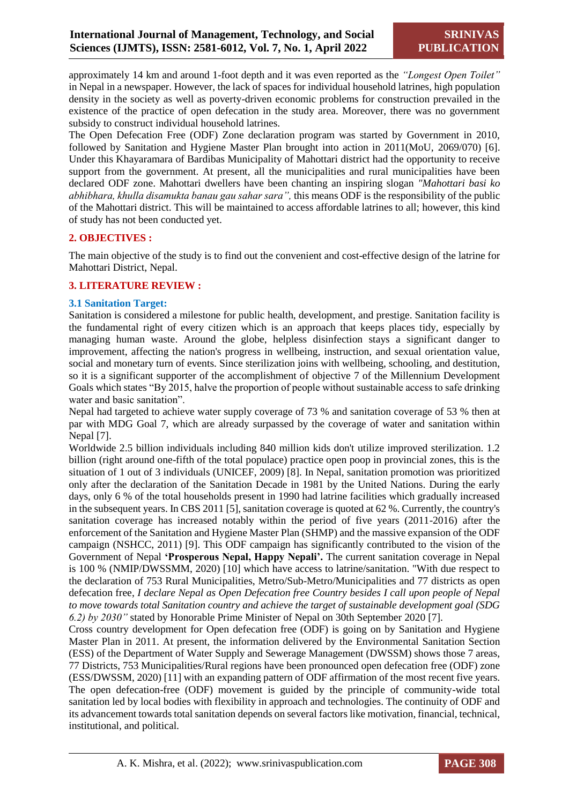approximately 14 km and around 1-foot depth and it was even reported as the *"Longest Open Toilet"* in Nepal in a newspaper. However, the lack of spaces for individual household latrines, high population density in the society as well as poverty-driven economic problems for construction prevailed in the existence of the practice of open defecation in the study area. Moreover, there was no government subsidy to construct individual household latrines.

The Open Defecation Free (ODF) Zone declaration program was started by Government in 2010, followed by Sanitation and Hygiene Master Plan brought into action in 2011(MoU, 2069/070) [6]. Under this Khayaramara of Bardibas Municipality of Mahottari district had the opportunity to receive support from the government. At present, all the municipalities and rural municipalities have been declared ODF zone. Mahottari dwellers have been chanting an inspiring slogan *"Mahottari basi ko abhibhara, khulla disamukta banau gau sahar sara",* this means ODF is the responsibility of the public of the Mahottari district. This will be maintained to access affordable latrines to all; however, this kind of study has not been conducted yet.

#### **2. OBJECTIVES :**

The main objective of the study is to find out the convenient and cost-effective design of the latrine for Mahottari District, Nepal.

#### **3. LITERATURE REVIEW :**

#### **3.1 Sanitation Target:**

Sanitation is considered a milestone for public health, development, and prestige. Sanitation facility is the fundamental right of every citizen which is an approach that keeps places tidy, especially by managing human waste. Around the globe, helpless disinfection stays a significant danger to improvement, affecting the nation's progress in wellbeing, instruction, and sexual orientation value, social and monetary turn of events. Since sterilization joins with wellbeing, schooling, and destitution, so it is a significant supporter of the accomplishment of objective 7 of the Millennium Development Goals which states "By 2015, halve the proportion of people without sustainable access to safe drinking water and basic sanitation".

Nepal had targeted to achieve water supply coverage of 73 % and sanitation coverage of 53 % then at par with MDG Goal 7, which are already surpassed by the coverage of water and sanitation within Nepal [7].

Worldwide 2.5 billion individuals including 840 million kids don't utilize improved sterilization. 1.2 billion (right around one-fifth of the total populace) practice open poop in provincial zones, this is the situation of 1 out of 3 individuals (UNICEF, 2009) [8]. In Nepal, sanitation promotion was prioritized only after the declaration of the Sanitation Decade in 1981 by the United Nations. During the early days, only 6 % of the total households present in 1990 had latrine facilities which gradually increased in the subsequent years. In CBS 2011 [5], sanitation coverage is quoted at 62 %. Currently, the country's sanitation coverage has increased notably within the period of five years (2011-2016) after the enforcement of the Sanitation and Hygiene Master Plan (SHMP) and the massive expansion of the ODF campaign (NSHCC, 2011) [9]. This ODF campaign has significantly contributed to the vision of the Government of Nepal **'Prosperous Nepal, Happy Nepali'.** The current sanitation coverage in Nepal is 100 % (NMIP/DWSSMM, 2020) [10] which have access to latrine/sanitation. "With due respect to the declaration of 753 Rural Municipalities, Metro/Sub-Metro/Municipalities and 77 districts as open defecation free, *I declare Nepal as Open Defecation free Country besides I call upon people of Nepal to move towards total Sanitation country and achieve the target of sustainable development goal (SDG 6.2) by 2030"* stated by Honorable Prime Minister of Nepal on 30th September 2020 [7].

Cross country development for Open defecation free (ODF) is going on by Sanitation and Hygiene Master Plan in 2011. At present, the information delivered by the Environmental Sanitation Section (ESS) of the Department of Water Supply and Sewerage Management (DWSSM) shows those 7 areas, 77 Districts, 753 Municipalities/Rural regions have been pronounced open defecation free (ODF) zone (ESS/DWSSM, 2020) [11] with an expanding pattern of ODF affirmation of the most recent five years. The open defecation-free (ODF) movement is guided by the principle of community-wide total sanitation led by local bodies with flexibility in approach and technologies. The continuity of ODF and its advancement towards total sanitation depends on several factors like motivation, financial, technical, institutional, and political.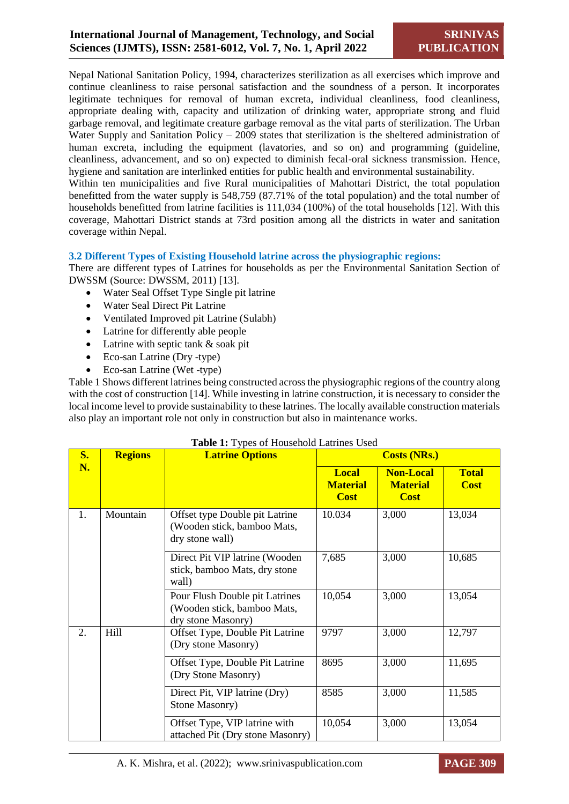Nepal National Sanitation Policy, 1994, characterizes sterilization as all exercises which improve and continue cleanliness to raise personal satisfaction and the soundness of a person. It incorporates legitimate techniques for removal of human excreta, individual cleanliness, food cleanliness, appropriate dealing with, capacity and utilization of drinking water, appropriate strong and fluid garbage removal, and legitimate creature garbage removal as the vital parts of sterilization. The Urban Water Supply and Sanitation Policy – 2009 states that sterilization is the sheltered administration of human excreta, including the equipment (lavatories, and so on) and programming (guideline, cleanliness, advancement, and so on) expected to diminish fecal-oral sickness transmission. Hence, hygiene and sanitation are interlinked entities for public health and environmental sustainability.

Within ten municipalities and five Rural municipalities of Mahottari District, the total population benefitted from the water supply is 548,759 (87.71% of the total population) and the total number of households benefitted from latrine facilities is 111,034 (100%) of the total households [12]. With this coverage, Mahottari District stands at 73rd position among all the districts in water and sanitation coverage within Nepal.

#### **3.2 Different Types of Existing Household latrine across the physiographic regions:**

There are different types of Latrines for households as per the Environmental Sanitation Section of DWSSM (Source: DWSSM, 2011) [13].

- Water Seal Offset Type Single pit latrine
- Water Seal Direct Pit Latrine
- Ventilated Improved pit Latrine (Sulabh)
- Latrine for differently able people
- Latrine with septic tank & soak pit
- Eco-san Latrine (Dry -type)
- Eco-san Latrine (Wet -type)

Table 1 Shows different latrines being constructed across the physiographic regions of the country along with the cost of construction [14]. While investing in latrine construction, it is necessary to consider the local income level to provide sustainability to these latrines. The locally available construction materials also play an important role not only in construction but also in maintenance works.

| <b>S.</b> | <b>Regions</b> | <b>Latrine Options</b>                                                              |                                                | <b>Costs (NRs.)</b>                                |                             |
|-----------|----------------|-------------------------------------------------------------------------------------|------------------------------------------------|----------------------------------------------------|-----------------------------|
| N.        |                |                                                                                     | <b>Local</b><br><b>Material</b><br><b>Cost</b> | <b>Non-Local</b><br><b>Material</b><br><b>Cost</b> | <b>Total</b><br><b>Cost</b> |
| 1.        | Mountain       | Offset type Double pit Latrine<br>(Wooden stick, bamboo Mats,<br>dry stone wall)    | 10.034                                         | 3,000                                              | 13,034                      |
|           |                | Direct Pit VIP latrine (Wooden<br>stick, bamboo Mats, dry stone<br>wall)            | 7,685                                          | 3,000                                              | 10,685                      |
|           |                | Pour Flush Double pit Latrines<br>(Wooden stick, bamboo Mats,<br>dry stone Masonry) | 10,054                                         | 3,000                                              | 13,054                      |
| 2.        | Hill           | Offset Type, Double Pit Latrine<br>(Dry stone Masonry)                              | 9797                                           | 3,000                                              | 12,797                      |
|           |                | Offset Type, Double Pit Latrine<br>(Dry Stone Masonry)                              | 8695                                           | 3,000                                              | 11,695                      |
|           |                | Direct Pit, VIP latrine (Dry)<br>Stone Masonry)                                     | 8585                                           | 3,000                                              | 11,585                      |
|           |                | Offset Type, VIP latrine with<br>attached Pit (Dry stone Masonry)                   | 10,054                                         | 3,000                                              | 13,054                      |

#### **Table 1:** Types of Household Latrines Used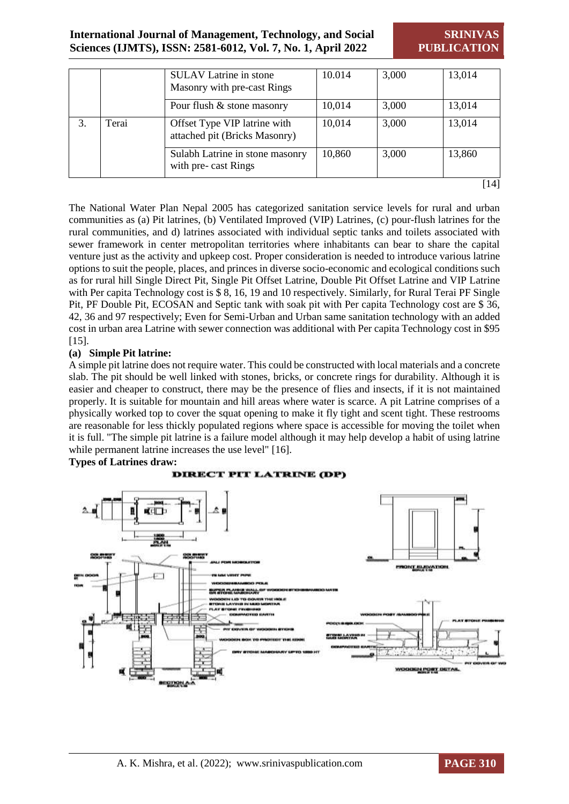## **International Journal of Management, Technology, and Social Sciences (IJMTS), ISSN: 2581-6012, Vol. 7, No. 1, April 2022**

**SRINIVAS PUBLICATION**

|             |  | <b>SULAV</b> Latrine in stone<br>Masonry with pre-cast Rings  | 10.014 | 3,000 | 13,014 |
|-------------|--|---------------------------------------------------------------|--------|-------|--------|
|             |  | Pour flush & stone masonry                                    | 10,014 | 3,000 | 13,014 |
| Terai<br>3. |  | Offset Type VIP latrine with<br>attached pit (Bricks Masonry) | 10,014 | 3,000 | 13,014 |
|             |  | Sulabh Latrine in stone masonry<br>with pre-cast Rings        | 10,860 | 3,000 | 13,860 |
|             |  |                                                               |        |       | [14]   |

The National Water Plan Nepal 2005 has categorized sanitation service levels for rural and urban communities as (a) Pit latrines, (b) Ventilated Improved (VIP) Latrines, (c) pour-flush latrines for the rural communities, and d) latrines associated with individual septic tanks and toilets associated with sewer framework in center metropolitan territories where inhabitants can bear to share the capital venture just as the activity and upkeep cost. Proper consideration is needed to introduce various latrine options to suit the people, places, and princes in diverse socio-economic and ecological conditions such as for rural hill Single Direct Pit, Single Pit Offset Latrine, Double Pit Offset Latrine and VIP Latrine with Per capita Technology cost is \$8, 16, 19 and 10 respectively. Similarly, for Rural Terai PF Single Pit, PF Double Pit, ECOSAN and Septic tank with soak pit with Per capita Technology cost are \$ 36, 42, 36 and 97 respectively; Even for Semi-Urban and Urban same sanitation technology with an added cost in urban area Latrine with sewer connection was additional with Per capita Technology cost in \$95 [15].

#### **(a) Simple Pit latrine:**

A simple pit latrine does not require water. This could be constructed with local materials and a concrete slab. The pit should be well linked with stones, bricks, or concrete rings for durability. Although it is easier and cheaper to construct, there may be the presence of flies and insects, if it is not maintained properly. It is suitable for mountain and hill areas where water is scarce. A pit Latrine comprises of a physically worked top to cover the squat opening to make it fly tight and scent tight. These restrooms are reasonable for less thickly populated regions where space is accessible for moving the toilet when it is full. "The simple pit latrine is a failure model although it may help develop a habit of using latrine while permanent latrine increases the use level" [16].

#### **Types of Latrines draw:**

#### **DIRECT PIT LATRINE (DP)**



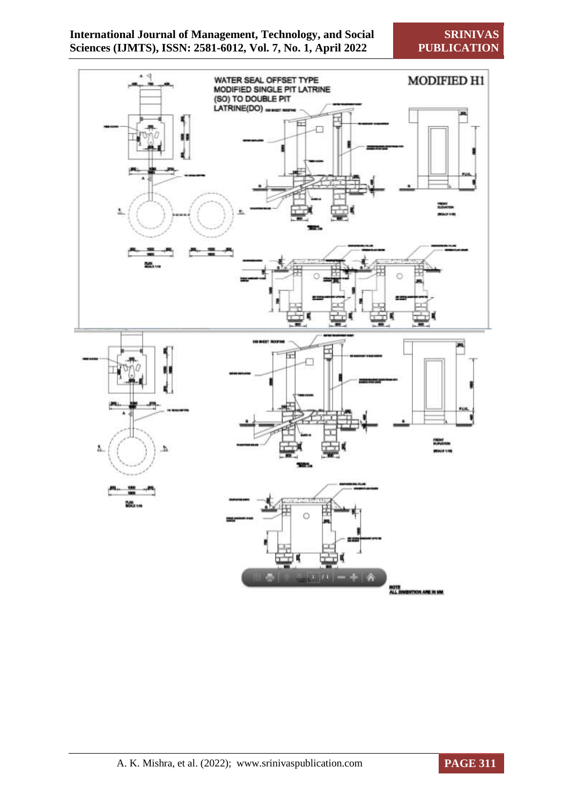

**SRINIVAS PUBLICATION**



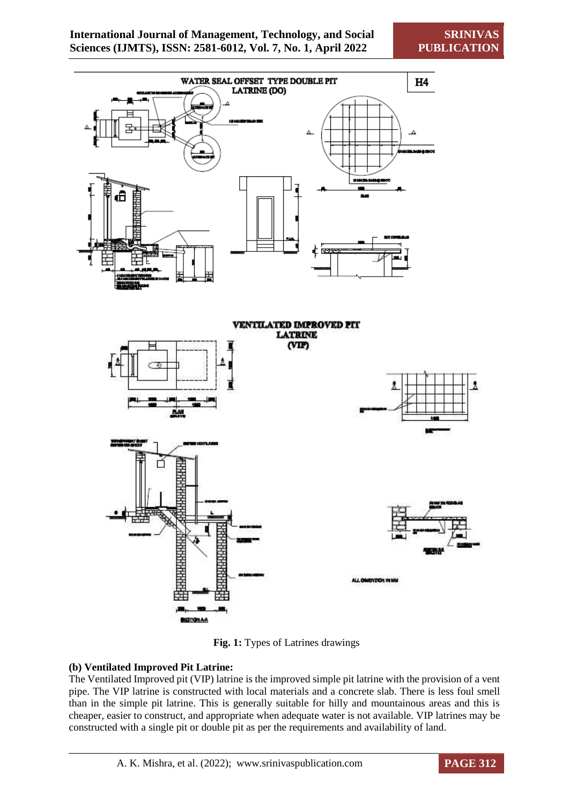

**Fig. 1:** Types of Latrines drawings

## **(b) Ventilated Improved Pit Latrine:**

The Ventilated Improved pit (VIP) latrine is the improved simple pit latrine with the provision of a vent pipe. The VIP latrine is constructed with local materials and a concrete slab. There is less foul smell than in the simple pit latrine. This is generally suitable for hilly and mountainous areas and this is cheaper, easier to construct, and appropriate when adequate water is not available. VIP latrines may be constructed with a single pit or double pit as per the requirements and availability of land.

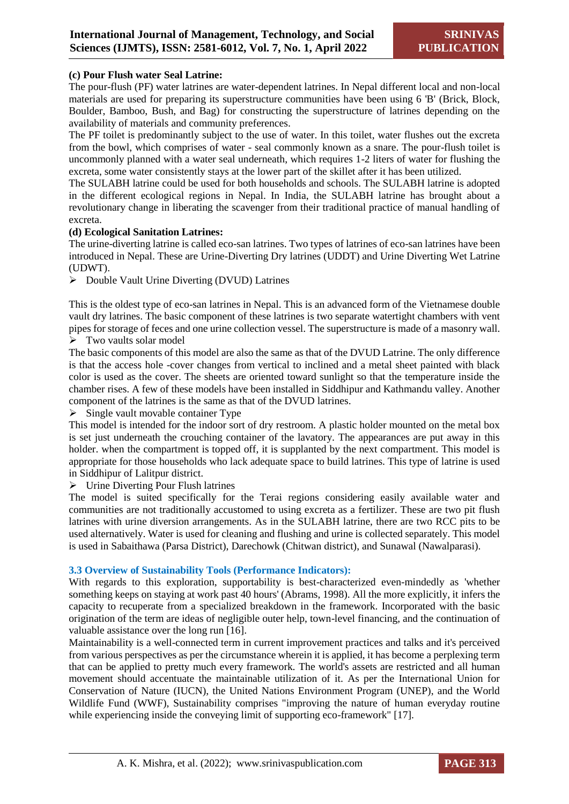#### **(c) Pour Flush water Seal Latrine:**

The pour-flush (PF) water latrines are water-dependent latrines. In Nepal different local and non-local materials are used for preparing its superstructure communities have been using 6 'B' (Brick, Block, Boulder, Bamboo, Bush, and Bag) for constructing the superstructure of latrines depending on the availability of materials and community preferences.

The PF toilet is predominantly subject to the use of water. In this toilet, water flushes out the excreta from the bowl, which comprises of water - seal commonly known as a snare. The pour-flush toilet is uncommonly planned with a water seal underneath, which requires 1-2 liters of water for flushing the excreta, some water consistently stays at the lower part of the skillet after it has been utilized.

The SULABH latrine could be used for both households and schools. The SULABH latrine is adopted in the different ecological regions in Nepal. In India, the SULABH latrine has brought about a revolutionary change in liberating the scavenger from their traditional practice of manual handling of excreta.

#### **(d) Ecological Sanitation Latrines:**

The urine-diverting latrine is called eco-san latrines. Two types of latrines of eco-san latrines have been introduced in Nepal. These are Urine-Diverting Dry latrines (UDDT) and Urine Diverting Wet Latrine (UDWT).

 $\triangleright$  Double Vault Urine Diverting (DVUD) Latrines

This is the oldest type of eco-san latrines in Nepal. This is an advanced form of the Vietnamese double vault dry latrines. The basic component of these latrines is two separate watertight chambers with vent pipes for storage of feces and one urine collection vessel. The superstructure is made of a masonry wall.

 $\triangleright$  Two vaults solar model

The basic components of this model are also the same as that of the DVUD Latrine. The only difference is that the access hole -cover changes from vertical to inclined and a metal sheet painted with black color is used as the cover. The sheets are oriented toward sunlight so that the temperature inside the chamber rises. A few of these models have been installed in Siddhipur and Kathmandu valley. Another component of the latrines is the same as that of the DVUD latrines.

 $\triangleright$  Single vault movable container Type

This model is intended for the indoor sort of dry restroom. A plastic holder mounted on the metal box is set just underneath the crouching container of the lavatory. The appearances are put away in this holder. when the compartment is topped off, it is supplanted by the next compartment. This model is appropriate for those households who lack adequate space to build latrines. This type of latrine is used in Siddhipur of Lalitpur district.

 $\triangleright$  Urine Diverting Pour Flush latrines

The model is suited specifically for the Terai regions considering easily available water and communities are not traditionally accustomed to using excreta as a fertilizer. These are two pit flush latrines with urine diversion arrangements. As in the SULABH latrine, there are two RCC pits to be used alternatively. Water is used for cleaning and flushing and urine is collected separately. This model is used in Sabaithawa (Parsa District), Darechowk (Chitwan district), and Sunawal (Nawalparasi).

#### **3.3 Overview of Sustainability Tools (Performance Indicators):**

With regards to this exploration, supportability is best-characterized even-mindedly as 'whether something keeps on staying at work past 40 hours' (Abrams, 1998). All the more explicitly, it infers the capacity to recuperate from a specialized breakdown in the framework. Incorporated with the basic origination of the term are ideas of negligible outer help, town-level financing, and the continuation of valuable assistance over the long run [16].

Maintainability is a well-connected term in current improvement practices and talks and it's perceived from various perspectives as per the circumstance wherein it is applied, it has become a perplexing term that can be applied to pretty much every framework. The world's assets are restricted and all human movement should accentuate the maintainable utilization of it. As per the International Union for Conservation of Nature (IUCN), the United Nations Environment Program (UNEP), and the World Wildlife Fund (WWF), Sustainability comprises "improving the nature of human everyday routine while experiencing inside the conveying limit of supporting eco-framework" [17].

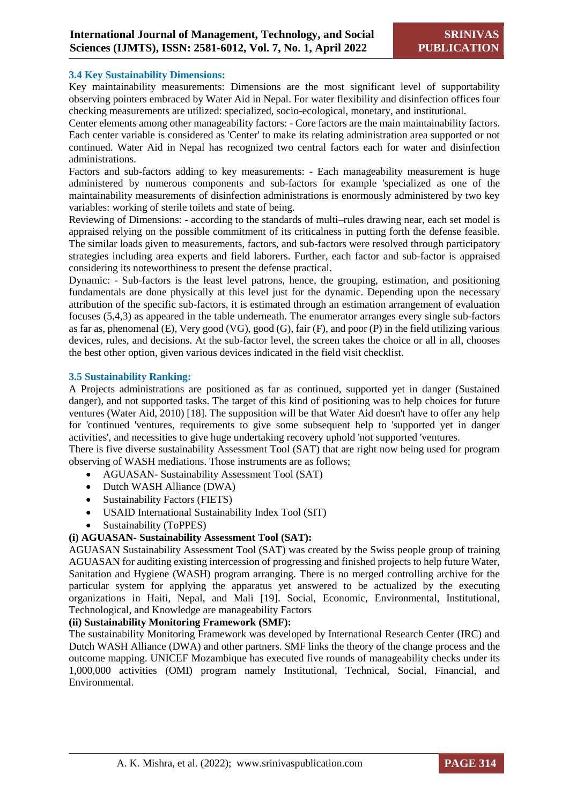#### **3.4 Key Sustainability Dimensions:**

Key maintainability measurements: Dimensions are the most significant level of supportability observing pointers embraced by Water Aid in Nepal. For water flexibility and disinfection offices four checking measurements are utilized: specialized, socio-ecological, monetary, and institutional.

Center elements among other manageability factors: - Core factors are the main maintainability factors. Each center variable is considered as 'Center' to make its relating administration area supported or not continued. Water Aid in Nepal has recognized two central factors each for water and disinfection administrations.

Factors and sub-factors adding to key measurements: - Each manageability measurement is huge administered by numerous components and sub-factors for example 'specialized as one of the maintainability measurements of disinfection administrations is enormously administered by two key variables: working of sterile toilets and state of being.

Reviewing of Dimensions: - according to the standards of multi–rules drawing near, each set model is appraised relying on the possible commitment of its criticalness in putting forth the defense feasible. The similar loads given to measurements, factors, and sub-factors were resolved through participatory strategies including area experts and field laborers. Further, each factor and sub-factor is appraised considering its noteworthiness to present the defense practical.

Dynamic: - Sub-factors is the least level patrons, hence, the grouping, estimation, and positioning fundamentals are done physically at this level just for the dynamic. Depending upon the necessary attribution of the specific sub-factors, it is estimated through an estimation arrangement of evaluation focuses (5,4,3) as appeared in the table underneath. The enumerator arranges every single sub-factors as far as, phenomenal (E), Very good (VG), good (G), fair (F), and poor (P) in the field utilizing various devices, rules, and decisions. At the sub-factor level, the screen takes the choice or all in all, chooses the best other option, given various devices indicated in the field visit checklist.

#### **3.5 Sustainability Ranking:**

A Projects administrations are positioned as far as continued, supported yet in danger (Sustained danger), and not supported tasks. The target of this kind of positioning was to help choices for future ventures (Water Aid, 2010) [18]. The supposition will be that Water Aid doesn't have to offer any help for 'continued 'ventures, requirements to give some subsequent help to 'supported yet in danger activities', and necessities to give huge undertaking recovery uphold 'not supported 'ventures.

There is five diverse sustainability Assessment Tool (SAT) that are right now being used for program observing of WASH mediations. Those instruments are as follows;

- AGUASAN- Sustainability Assessment Tool (SAT)
- Dutch WASH Alliance (DWA)
- Sustainability Factors (FIETS)
- USAID International Sustainability Index Tool (SIT)
- Sustainability (ToPPES)

### **(i) AGUASAN- Sustainability Assessment Tool (SAT):**

AGUASAN Sustainability Assessment Tool (SAT) was created by the Swiss people group of training AGUASAN for auditing existing intercession of progressing and finished projects to help future Water, Sanitation and Hygiene (WASH) program arranging. There is no merged controlling archive for the particular system for applying the apparatus yet answered to be actualized by the executing organizations in Haiti, Nepal, and Mali [19]. Social, Economic, Environmental, Institutional, Technological, and Knowledge are manageability Factors

#### **(ii) Sustainability Monitoring Framework (SMF):**

The sustainability Monitoring Framework was developed by International Research Center (IRC) and Dutch WASH Alliance (DWA) and other partners. SMF links the theory of the change process and the outcome mapping. UNICEF Mozambique has executed five rounds of manageability checks under its 1,000,000 activities (OMI) program namely Institutional, Technical, Social, Financial, and Environmental.

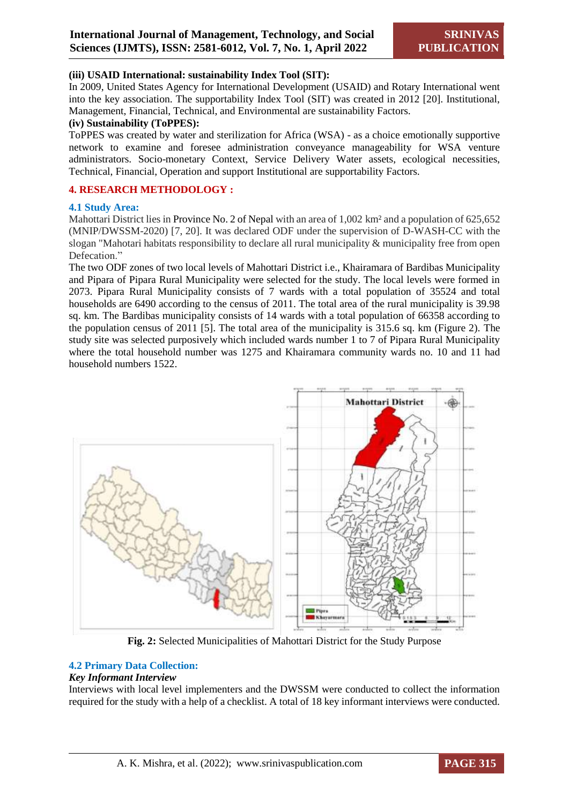#### **(iii) USAID International: sustainability Index Tool (SIT):**

In 2009, United States Agency for International Development (USAID) and Rotary International went into the key association. The supportability Index Tool (SIT) was created in 2012 [20]. Institutional, Management, Financial, Technical, and Environmental are sustainability Factors.

#### **(iv) Sustainability (ToPPES):**

ToPPES was created by water and sterilization for Africa (WSA) - as a choice emotionally supportive network to examine and foresee administration conveyance manageability for WSA venture administrators. Socio-monetary Context, Service Delivery Water assets, ecological necessities, Technical, Financial, Operation and support Institutional are supportability Factors.

#### **4. RESEARCH METHODOLOGY :**

#### **4.1 Study Area:**

Mahottari District lies in Province No. 2 of Nepal with an area of 1,002 km² and a population of 625,652 (MNIP/DWSSM-2020) [7, 20]. It was declared ODF under the supervision of D-WASH-CC with the slogan "Mahotari habitats responsibility to declare all rural municipality & municipality free from open Defecation."

The two ODF zones of two local levels of Mahottari District i.e., Khairamara of Bardibas Municipality and Pipara of Pipara Rural Municipality were selected for the study. The local levels were formed in 2073. Pipara Rural Municipality consists of 7 wards with a total population of 35524 and total households are 6490 according to the census of 2011. The total area of the rural municipality is 39.98 sq. km. The Bardibas municipality consists of 14 wards with a total population of 66358 according to the population census of 2011 [5]. The total area of the municipality is 315.6 sq. km (Figure 2). The study site was selected purposively which included wards number 1 to 7 of Pipara Rural Municipality where the total household number was 1275 and Khairamara community wards no. 10 and 11 had household numbers 1522.



**Fig. 2:** Selected Municipalities of Mahottari District for the Study Purpose

#### **4.2 Primary Data Collection:**

#### *Key Informant Interview*

Interviews with local level implementers and the DWSSM were conducted to collect the information required for the study with a help of a checklist. A total of 18 key informant interviews were conducted.

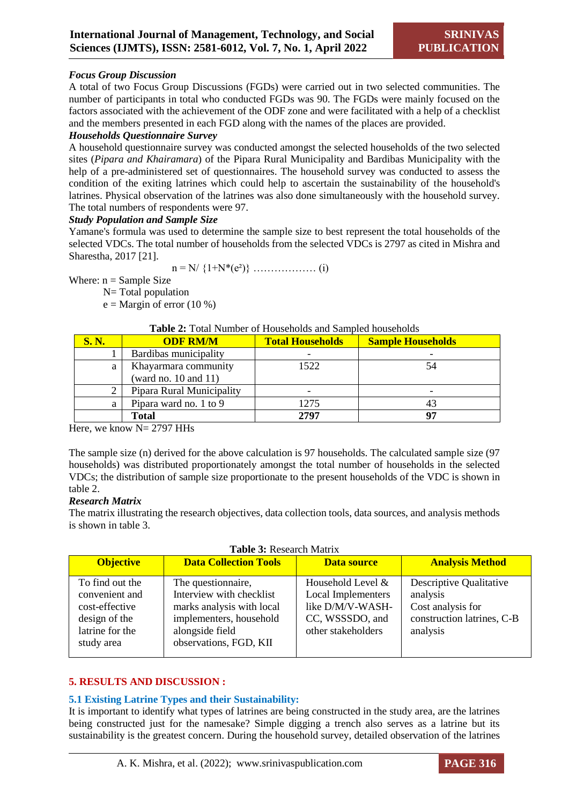#### *Focus Group Discussion*

A total of two Focus Group Discussions (FGDs) were carried out in two selected communities. The number of participants in total who conducted FGDs was 90. The FGDs were mainly focused on the factors associated with the achievement of the ODF zone and were facilitated with a help of a checklist and the members presented in each FGD along with the names of the places are provided.

#### *Households Questionnaire Survey*

A household questionnaire survey was conducted amongst the selected households of the two selected sites (*Pipara and Khairamara*) of the Pipara Rural Municipality and Bardibas Municipality with the help of a pre-administered set of questionnaires. The household survey was conducted to assess the condition of the exiting latrines which could help to ascertain the sustainability of the household's latrines. Physical observation of the latrines was also done simultaneously with the household survey. The total numbers of respondents were 97.

#### *Study Population and Sample Size*

Yamane's formula was used to determine the sample size to best represent the total households of the selected VDCs. The total number of households from the selected VDCs is 2797 as cited in Mishra and Sharestha, 2017 [21].

 $n = N / \{1+N^*(e^2)\}\dots$  (i)

Where:  $n =$  Sample Size

N= Total population

 $e =$ Margin of error (10 %)

#### **Table 2:** Total Number of Households and Sampled households

| <b>S. N.</b> | <b>ODF RM/M</b>           | <b>Total Households</b> | <b>Sample Households</b> |
|--------------|---------------------------|-------------------------|--------------------------|
|              | Bardibas municipality     |                         |                          |
| a            | Khayarmara community      | 1522                    | 54                       |
|              | (ward no. $10$ and $11$ ) |                         |                          |
|              | Pipara Rural Municipality |                         |                          |
| a            | Pipara ward no. 1 to 9    | 1275                    |                          |
|              | <b>Total</b>              | 2797                    | 07                       |

Here, we know  $N = 2797$  HHs

The sample size (n) derived for the above calculation is 97 households. The calculated sample size (97 households) was distributed proportionately amongst the total number of households in the selected VDCs; the distribution of sample size proportionate to the present households of the VDC is shown in table 2.

#### *Research Matrix*

The matrix illustrating the research objectives, data collection tools, data sources, and analysis methods is shown in table 3.

| <b>Table 3: Research Matrix</b>                                                                       |                                                                                                                                                      |                                                                                                             |                                                                                                    |  |  |
|-------------------------------------------------------------------------------------------------------|------------------------------------------------------------------------------------------------------------------------------------------------------|-------------------------------------------------------------------------------------------------------------|----------------------------------------------------------------------------------------------------|--|--|
| <b>Objective</b>                                                                                      | <b>Data Collection Tools</b>                                                                                                                         | <b>Data source</b>                                                                                          | <b>Analysis Method</b>                                                                             |  |  |
| To find out the<br>convenient and<br>cost-effective<br>design of the<br>latrine for the<br>study area | The question naire,<br>Interview with checklist<br>marks analysis with local<br>implementers, household<br>alongside field<br>observations, FGD, KII | Household Level &<br><b>Local Implementers</b><br>like D/M/V-WASH-<br>CC, WSSSDO, and<br>other stakeholders | Descriptive Qualitative<br>analysis<br>Cost analysis for<br>construction latrines, C-B<br>analysis |  |  |

#### **5. RESULTS AND DISCUSSION :**

#### **5.1 Existing Latrine Types and their Sustainability:**

It is important to identify what types of latrines are being constructed in the study area, are the latrines being constructed just for the namesake? Simple digging a trench also serves as a latrine but its sustainability is the greatest concern. During the household survey, detailed observation of the latrines

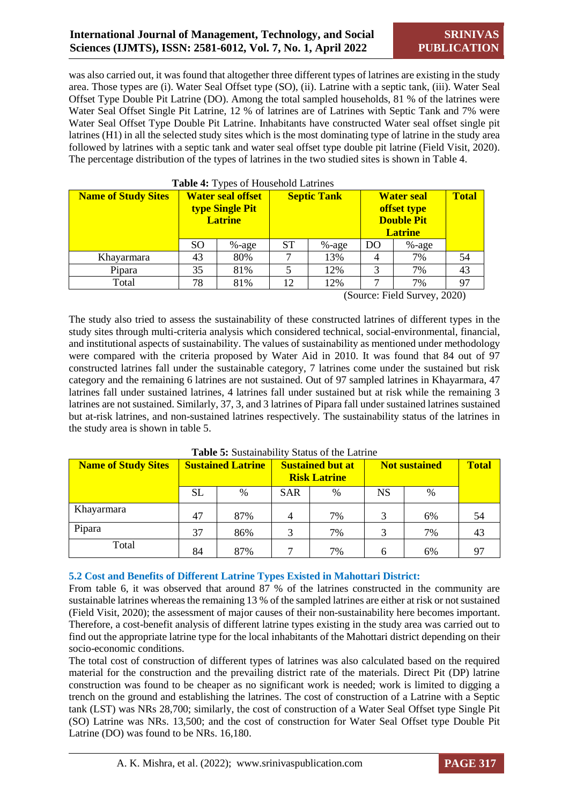## **International Journal of Management, Technology, and Social Sciences (IJMTS), ISSN: 2581-6012, Vol. 7, No. 1, April 2022**

was also carried out, it was found that altogether three different types of latrines are existing in the study area. Those types are (i). Water Seal Offset type (SO), (ii). Latrine with a septic tank, (iii). Water Seal Offset Type Double Pit Latrine (DO). Among the total sampled households, 81 % of the latrines were Water Seal Offset Single Pit Latrine, 12 % of latrines are of Latrines with Septic Tank and 7% were Water Seal Offset Type Double Pit Latrine. Inhabitants have constructed Water seal offset single pit latrines (H1) in all the selected study sites which is the most dominating type of latrine in the study area followed by latrines with a septic tank and water seal offset type double pit latrine (Field Visit, 2020). The percentage distribution of the types of latrines in the two studied sites is shown in Table 4.

| <b>Name of Study Sites</b> |    | <b>Water seal offset</b><br>type Single Pit<br><b>Latrine</b> | <b>Table To I</b> ypes of Household Latinics<br><b>Septic Tank</b> |          | <b>Water seal</b><br>offset type<br><b>Double Pit</b><br><b>Latrine</b> |          | <b>Total</b> |
|----------------------------|----|---------------------------------------------------------------|--------------------------------------------------------------------|----------|-------------------------------------------------------------------------|----------|--------------|
|                            | SO | $% -age$                                                      | <b>ST</b>                                                          | $% -age$ | DO                                                                      | $% -age$ |              |
| Khayarmara                 | 43 | 80%                                                           |                                                                    | 13%      | 4                                                                       | 7%       | 54           |
| Pipara                     | 35 | 81%                                                           |                                                                    | 12%      | 3                                                                       | 7%       | 43           |
| Total                      | 78 | 81%                                                           | 12                                                                 | 12%      |                                                                         | 7%       | 97           |

#### **Table 4:** Types of Household Latrines

(Source: Field Survey, 2020)

The study also tried to assess the sustainability of these constructed latrines of different types in the study sites through multi-criteria analysis which considered technical, social-environmental, financial, and institutional aspects of sustainability. The values of sustainability as mentioned under methodology were compared with the criteria proposed by Water Aid in 2010. It was found that 84 out of 97 constructed latrines fall under the sustainable category, 7 latrines come under the sustained but risk category and the remaining 6 latrines are not sustained. Out of 97 sampled latrines in Khayarmara, 47 latrines fall under sustained latrines, 4 latrines fall under sustained but at risk while the remaining 3 latrines are not sustained. Similarly, 37, 3, and 3 latrines of Pipara fall under sustained latrines sustained but at-risk latrines, and non-sustained latrines respectively. The sustainability status of the latrines in the study area is shown in table 5.

| <b>Name of Study Sites</b> | <b>Sustained Latrine</b> |      | <b>Sustained but at</b><br><b>Risk Latrine</b> |               | <b>Not sustained</b> |               | <b>Total</b> |
|----------------------------|--------------------------|------|------------------------------------------------|---------------|----------------------|---------------|--------------|
|                            | <b>SL</b>                | $\%$ | <b>SAR</b>                                     | $\frac{0}{0}$ | <b>NS</b>            | $\frac{0}{0}$ |              |
| Khayarmara                 | 47                       | 87%  |                                                | 7%            |                      | 6%            | 54           |
| Pipara                     | 37                       | 86%  | 3                                              | 7%            |                      | 7%            | 43           |
| Total                      | 84                       | 87%  |                                                | 7%            | 6                    | 6%            | 97           |

#### **Table 5:** Sustainability Status of the Latrine

#### **5.2 Cost and Benefits of Different Latrine Types Existed in Mahottari District:**

From table 6, it was observed that around 87 % of the latrines constructed in the community are sustainable latrines whereas the remaining 13 % of the sampled latrines are either at risk or not sustained (Field Visit, 2020); the assessment of major causes of their non-sustainability here becomes important. Therefore, a cost-benefit analysis of different latrine types existing in the study area was carried out to find out the appropriate latrine type for the local inhabitants of the Mahottari district depending on their socio-economic conditions.

The total cost of construction of different types of latrines was also calculated based on the required material for the construction and the prevailing district rate of the materials. Direct Pit (DP) latrine construction was found to be cheaper as no significant work is needed; work is limited to digging a trench on the ground and establishing the latrines. The cost of construction of a Latrine with a Septic tank (LST) was NRs 28,700; similarly, the cost of construction of a Water Seal Offset type Single Pit (SO) Latrine was NRs. 13,500; and the cost of construction for Water Seal Offset type Double Pit Latrine (DO) was found to be NRs. 16,180.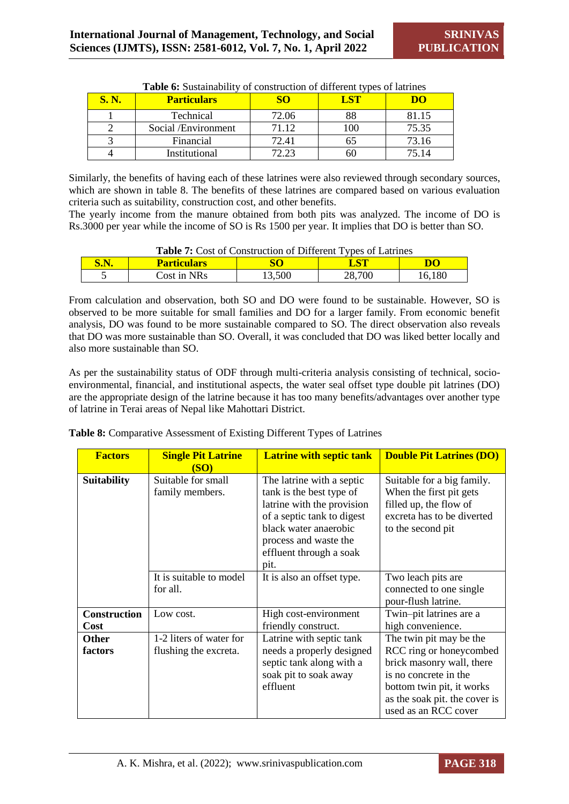| <b>S. N.</b> | <b>Particulars</b>  |       | <u>r qʻ</u> |       |
|--------------|---------------------|-------|-------------|-------|
|              | Technical           | 72.06 |             | 81.15 |
|              | Social /Environment | 71.12 | OO.         | 75.35 |
|              | Financial           | 72.41 |             | 73.16 |
|              | Institutional       | 72 23 |             | . 14  |

Similarly, the benefits of having each of these latrines were also reviewed through secondary sources, which are shown in table 8. The benefits of these latrines are compared based on various evaluation criteria such as suitability, construction cost, and other benefits.

The yearly income from the manure obtained from both pits was analyzed. The income of DO is Rs.3000 per year while the income of SO is Rs 1500 per year. It implies that DO is better than SO.

| <b>Table 7:</b> Cost of Construction of Different Types of Latrines |                                       |        |        |        |  |
|---------------------------------------------------------------------|---------------------------------------|--------|--------|--------|--|
| <b>S.N.</b>                                                         | LST<br><b>Particulars</b><br>DO<br>SO |        |        |        |  |
|                                                                     | Cost in NRs                           | 13,500 | 28,700 | 16,180 |  |

From calculation and observation, both SO and DO were found to be sustainable. However, SO is observed to be more suitable for small families and DO for a larger family. From economic benefit analysis, DO was found to be more sustainable compared to SO. The direct observation also reveals that DO was more sustainable than SO. Overall, it was concluded that DO was liked better locally and also more sustainable than SO.

As per the sustainability status of ODF through multi-criteria analysis consisting of technical, socioenvironmental, financial, and institutional aspects, the water seal offset type double pit latrines (DO) are the appropriate design of the latrine because it has too many benefits/advantages over another type of latrine in Terai areas of Nepal like Mahottari District.

|  |  | Table 8: Comparative Assessment of Existing Different Types of Latrines |
|--|--|-------------------------------------------------------------------------|
|  |  |                                                                         |

| <b>Factors</b>      | <b>Single Pit Latrine</b><br><b>(SO)</b> | <b>Latrine with septic tank</b>                                                                                                                                                                        | <b>Double Pit Latrines (DO)</b>                                                                                                                                     |
|---------------------|------------------------------------------|--------------------------------------------------------------------------------------------------------------------------------------------------------------------------------------------------------|---------------------------------------------------------------------------------------------------------------------------------------------------------------------|
| <b>Suitability</b>  | Suitable for small<br>family members.    | The latrine with a septic<br>tank is the best type of<br>latrine with the provision<br>of a septic tank to digest<br>black water anaerobic<br>process and waste the<br>effluent through a soak<br>pit. | Suitable for a big family.<br>When the first pit gets<br>filled up, the flow of<br>excreta has to be diverted<br>to the second pit                                  |
|                     | It is suitable to model<br>for all.      | It is also an offset type.                                                                                                                                                                             | Two leach pits are<br>connected to one single<br>pour-flush latrine.                                                                                                |
| <b>Construction</b> | Low cost.                                | High cost-environment                                                                                                                                                                                  | Twin-pit latrines are a                                                                                                                                             |
| Cost                |                                          | friendly construct.                                                                                                                                                                                    | high convenience.                                                                                                                                                   |
| <b>Other</b>        | 1-2 liters of water for                  | Latrine with septic tank                                                                                                                                                                               | The twin pit may be the                                                                                                                                             |
| factors             | flushing the excreta.                    | needs a properly designed<br>septic tank along with a<br>soak pit to soak away<br>effluent                                                                                                             | RCC ring or honeycombed<br>brick masonry wall, there<br>is no concrete in the<br>bottom twin pit, it works<br>as the soak pit. the cover is<br>used as an RCC cover |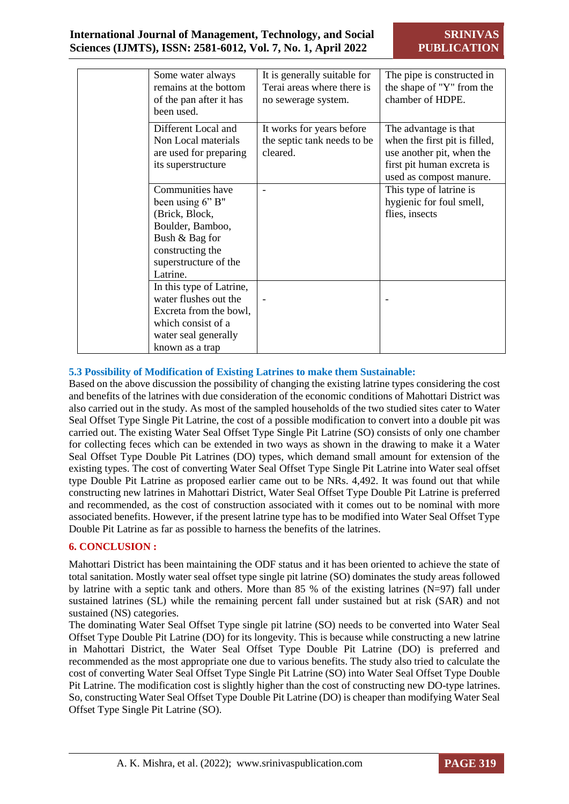| Some water always<br>remains at the bottom<br>of the pan after it has<br>been used.                                                                   | It is generally suitable for<br>Terai areas where there is<br>no sewerage system. | The pipe is constructed in<br>the shape of "Y" from the<br>chamber of HDPE.                                                                  |
|-------------------------------------------------------------------------------------------------------------------------------------------------------|-----------------------------------------------------------------------------------|----------------------------------------------------------------------------------------------------------------------------------------------|
| Different Local and<br>Non Local materials<br>are used for preparing<br>its superstructure                                                            | It works for years before<br>the septic tank needs to be<br>cleared.              | The advantage is that<br>when the first pit is filled,<br>use another pit, when the<br>first pit human excreta is<br>used as compost manure. |
| Communities have<br>been using 6" B"<br>(Brick, Block,<br>Boulder, Bamboo,<br>Bush & Bag for<br>constructing the<br>superstructure of the<br>Latrine. |                                                                                   | This type of latrine is<br>hygienic for foul smell,<br>flies, insects                                                                        |
| In this type of Latrine,<br>water flushes out the<br>Excreta from the bowl,<br>which consist of a<br>water seal generally<br>known as a trap          |                                                                                   |                                                                                                                                              |

#### **5.3 Possibility of Modification of Existing Latrines to make them Sustainable:**

Based on the above discussion the possibility of changing the existing latrine types considering the cost and benefits of the latrines with due consideration of the economic conditions of Mahottari District was also carried out in the study. As most of the sampled households of the two studied sites cater to Water Seal Offset Type Single Pit Latrine, the cost of a possible modification to convert into a double pit was carried out. The existing Water Seal Offset Type Single Pit Latrine (SO) consists of only one chamber for collecting feces which can be extended in two ways as shown in the drawing to make it a Water Seal Offset Type Double Pit Latrines (DO) types, which demand small amount for extension of the existing types. The cost of converting Water Seal Offset Type Single Pit Latrine into Water seal offset type Double Pit Latrine as proposed earlier came out to be NRs. 4,492. It was found out that while constructing new latrines in Mahottari District, Water Seal Offset Type Double Pit Latrine is preferred and recommended, as the cost of construction associated with it comes out to be nominal with more associated benefits. However, if the present latrine type has to be modified into Water Seal Offset Type Double Pit Latrine as far as possible to harness the benefits of the latrines.

#### **6. CONCLUSION :**

Mahottari District has been maintaining the ODF status and it has been oriented to achieve the state of total sanitation. Mostly water seal offset type single pit latrine (SO) dominates the study areas followed by latrine with a septic tank and others. More than 85 % of the existing latrines (N=97) fall under sustained latrines (SL) while the remaining percent fall under sustained but at risk (SAR) and not sustained (NS) categories.

The dominating Water Seal Offset Type single pit latrine (SO) needs to be converted into Water Seal Offset Type Double Pit Latrine (DO) for its longevity. This is because while constructing a new latrine in Mahottari District, the Water Seal Offset Type Double Pit Latrine (DO) is preferred and recommended as the most appropriate one due to various benefits. The study also tried to calculate the cost of converting Water Seal Offset Type Single Pit Latrine (SO) into Water Seal Offset Type Double Pit Latrine. The modification cost is slightly higher than the cost of constructing new DO-type latrines. So, constructing Water Seal Offset Type Double Pit Latrine (DO) is cheaper than modifying Water Seal Offset Type Single Pit Latrine (SO).

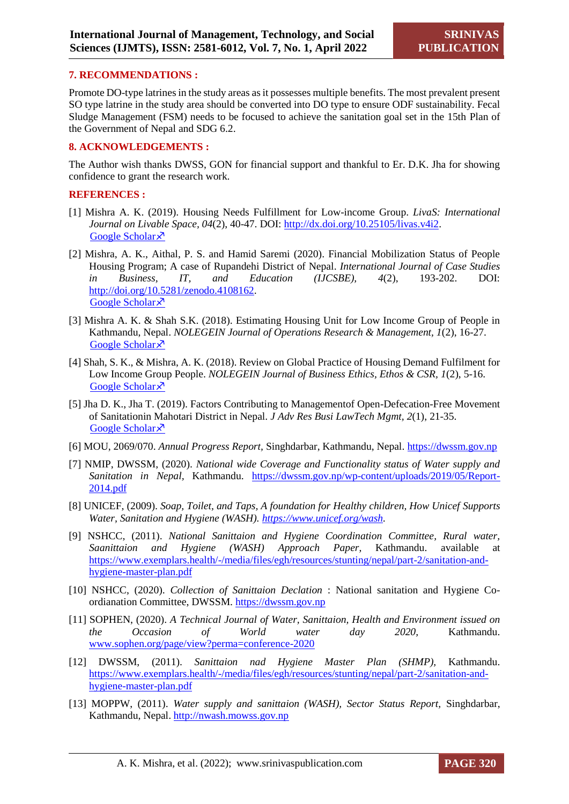#### **7. RECOMMENDATIONS :**

Promote DO-type latrines in the study areas as it possesses multiple benefits. The most prevalent present SO type latrine in the study area should be converted into DO type to ensure ODF sustainability. Fecal Sludge Management (FSM) needs to be focused to achieve the sanitation goal set in the 15th Plan of the Government of Nepal and SDG 6.2.

#### **8. ACKNOWLEDGEMENTS :**

The Author wish thanks DWSS, GON for financial support and thankful to Er. D.K. Jha for showing confidence to grant the research work.

#### **REFERENCES :**

- [1] Mishra A. K. (2019). Housing Needs Fulfillment for Low-income Group. *LivaS: International Journal on Livable Space, 04*(2), 40-47. DOI: [http://dx.doi.org/10.25105/livas.v4i2.](http://dx.doi.org/10.25105/livas.v4i2) [Google Scholar](https://trijurnal.lemlit.trisakti.ac.id/livas/article/view/5630) ×
- [2] Mishra, A. K., Aithal, P. S. and Hamid Saremi (2020). Financial Mobilization Status of People Housing Program; A case of Rupandehi District of Nepal. *International Journal of Case Studies in Business, IT, and Education (IJCSBE), 4*(2), 193-202. DOI: [http://doi.org/10.5281/zenodo.4108162.](http://doi.org/10.5281/zenodo.4108162) [Google Scholar](https://papers.ssrn.com/sol3/papers.cfm?abstract_id=3745850) ×
- [3] Mishra A. K. & Shah S.K. (2018). Estimating Housing Unit for Low Income Group of People in Kathmandu, Nepal. *NOLEGEIN Journal of Operations Research & Management, 1*(2), 16-27. [Google Scholar](https://www.researchgate.net/profile/Anjay-Mishra/publication/329150451_Estimating_Housing_Unit_for_Low_Income_Group_of_People_in_Kathmandu_Nepal/links/5bf7f2e5458515a69e362a3e/Estimating-Housing-Unit-for-Low-Income-Group-of-People-in-Kathmandu-Nepal.pdf) ×
- [4] Shah, S. K., & Mishra, A. K. (2018). Review on Global Practice of Housing Demand Fulfilment for Low Income Group People. *NOLEGEIN Journal of Business Ethics, Ethos & CSR, 1*(2), 5-16. [Google Scholar](https://www.researchgate.net/profile/Anjay-Mishra/publication/329164106_Review_on_Global_Practice_of_Housing_Demand_Fulfilment_for_Low_Income_Group_People/links/5bf90f16a6fdcc538816bf7e/Review-on-Global-Practice-of-Housing-Demand-Fulfilment-for-Low-Income-Group-People.pdf) ×
- [5] Jha D. K., Jha T. (2019). Factors Contributing to Managementof Open-Defecation-Free Movement of Sanitationin Mahotari District in Nepal. *J Adv Res Busi LawTech Mgmt, 2*(1), 21-35. [Google Scholar](https://www.researchgate.net/profile/Tulika-Jha-2/publication/340246588_Factors_Contributing_to_Management_of_OpenDefecation-Free_Movement_of_Sanitation_in_Mahottari_District_in_Nepal/links/5e7eb38592851caef4a579ae/Factors-Contributing-to-Management-of-OpenDefecation-Free-Movement-of-Sanitation-in-Mahottari-District-in-Nepal.pdf)  $\lambda$
- [6] MOU, 2069/070. *Annual Progress Report,* Singhdarbar, Kathmandu, Nepal. [https://dwssm.gov.np](https://dwssm.gov.np/)
- [7] NMIP, DWSSM, (2020). *National wide Coverage and Functionality status of Water supply and Sanitation in Nepal,* Kathmandu. [https://dwssm.gov.np/wp-content/uploads/2019/05/Report-](https://dwssm.gov.np/wp-content/uploads/2019/05/Report-2014.pdf)[2014.pdf](https://dwssm.gov.np/wp-content/uploads/2019/05/Report-2014.pdf)
- [8] UNICEF, (2009). *Soap, Toilet, and Taps, A foundation for Healthy children, How Unicef Supports Water, Sanitation and Hygiene (WASH). [https://www.unicef.org/wash.](https://www.unicef.org/wash)*
- [9] NSHCC, (2011). *National Sanittaion and Hygiene Coordination Committee, Rural water, Saanittaion and Hygiene (WASH) Approach Paper,* Kathmandu. available at [https://www.exemplars.health/-/media/files/egh/resources/stunting/nepal/part-2/sanitation-and](https://www.exemplars.health/-/media/files/egh/resources/stunting/nepal/part-2/sanitation-and-hygiene-master-plan.pdf)[hygiene-master-plan.pdf](https://www.exemplars.health/-/media/files/egh/resources/stunting/nepal/part-2/sanitation-and-hygiene-master-plan.pdf)
- [10] NSHCC, (2020). *Collection of Sanittaion Declation* : National sanitation and Hygiene Coordianation Committee, DWSSM. [https://dwssm.gov.np](https://dwssm.gov.np/)
- [11] SOPHEN, (2020). *A Technical Journal of Water, Sanittaion, Health and Environment issued on the Occasion of World water day 2020,* Kathmandu. [www.sophen.org/page/view?perma=conference-2020](http://www.sophen.org/page/view?perma=conference-2020)
- [12] DWSSM, (2011). *Sanittaion nad Hygiene Master Plan (SHMP),* Kathmandu. [https://www.exemplars.health/-/media/files/egh/resources/stunting/nepal/part-2/sanitation-and](https://www.exemplars.health/-/media/files/egh/resources/stunting/nepal/part-2/sanitation-and-hygiene-master-plan.pdf)[hygiene-master-plan.pdf](https://www.exemplars.health/-/media/files/egh/resources/stunting/nepal/part-2/sanitation-and-hygiene-master-plan.pdf)
- [13] MOPPW, (2011). *Water supply and sanittaion (WASH), Sector Status Report, Singhdarbar,* Kathmandu, Nepal. [http://nwash.mowss.gov.np](http://nwash.mowss.gov.np/)